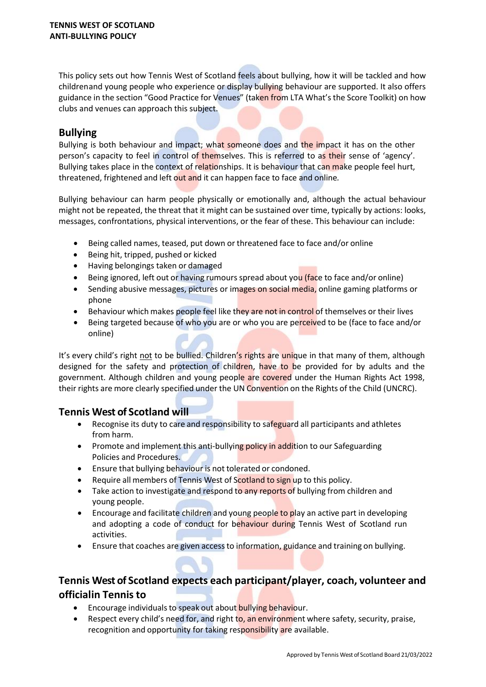This policy sets out how Tennis West of Scotland feels about bullying, how it will be tackled and how children and young people who experience or display bullying behaviour are supported. It also offers guidance in the section "Good Practice for Venues" (taken from LTA What's the Score Toolkit) on how clubs and venues can approach this subject.

## **Bullying**

Bullying is both behaviour and impact; what someone does and the impact it has on the other person's capacity to feel in control of themselves. This is referred to as their sense of 'agency'. Bullying takes place in the context of relationships. It is behaviour that can make people feel hurt, threatened, frightened and left out and it can happen face to face and online*.*

Bullying behaviour can harm people physically or emotionally and, although the actual behaviour might not be repeated, the threat that it might can be sustained over time, typically by actions: looks, messages, confrontations, physical interventions, or the fear of these. This behaviour can include:

- Being called names, teased, put down or threatened face to face and/or online
- Being hit, tripped, pushed or kicked
- Having belongings taken or damaged
- Being ignored, left out or having rumours spread about you (face to face and/or online)
- Sending abusive messages, pictures or images on social media, online gaming platforms or phone
- Behaviour which makes people feel like they are not in control of themselves or their lives
- Being targeted because of who you are or who you are perceived to be (face to face and/or online)

It's every child's right not to be bullied. Children's rights are unique in that many of them, although designed for the safety and protection of children, have to be provided for by adults and the government. Although children and young people are covered under the Human Rights Act 1998, their rights are more clearly specified under the UN Convention on the Rights of the Child (UNCRC).

## **Tennis West of Scotland will**

- Recognise its duty to care and responsibility to safeguard all participants and athletes from harm.
- Promote and implement this anti-bullying policy in addition to our Safeguarding Policies and Procedures.
- Ensure that bullying behaviour is not tolerated or condoned.
- Require all members of Tennis West of Scotland to sign up to this policy.
- Take action to investigate and respond to any reports of bullying from children and young people.
- Encourage and facilitate children and young people to play an active part in developing and adopting a code of conduct for behaviour during Tennis West of Scotland run activities.
- Ensure that coaches are given accessto information, guidance and training on bullying.

# **Tennis West of Scotland expects each participant/player, coach, volunteer and official in Tennis to**

- Encourage individuals to speak out about bullying behaviour.
- Respect every child's need for, and right to, an environment where safety, security, praise, recognition and opportunity for taking responsibility are available.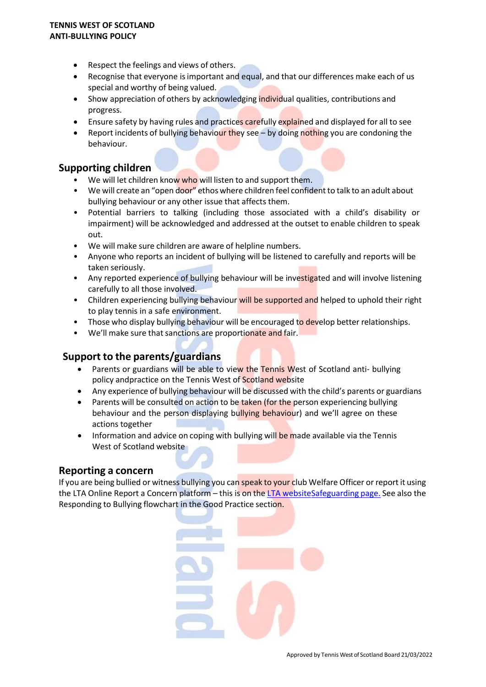#### **TENNIS WEST OF SCOTLAND ANTI-BULLYING POLICY**

- Respect the feelings and views of others.
- Recognise that everyone isimportant and equal, and that our differences make each of us special and worthy of being valued.
- Show appreciation of others by acknowledging individual qualities, contributions and progress.
- Ensure safety by having rules and practices carefully explained and displayed for all to see
- Report incidents of bullying behaviour they see by doing nothing you are condoning the behaviour.

## **Supporting children**

- We will let children know who will listen to and support them.
- We will create an "open door" ethos where children feel confident to talk to an adult about bullying behaviour or any other issue that affects them.
- Potential barriers to talking (including those associated with a child's disability or impairment) will be acknowledged and addressed at the outset to enable children to speak out.
- We will make sure children are aware of helpline numbers.
- Anyone who reports an incident of bullying will be listened to carefully and reports will be taken seriously.
- Any reported experience of bullying behaviour will be investigated and will involve listening carefully to all those involved.
- Children experiencing bullying behaviour will be supported and helped to uphold their right to play tennis in a safe environment.
- Those who display bullying behaviour will be encouraged to develop better relationships.
- We'll make sure that sanctions are proportionate and fair.

## **Support to the parents/guardians**

- Parents or guardians will be able to view the Tennis West of Scotland anti- bullying policy andpractice on the Tennis West of Scotland website
- Any experience of bullying behaviour will be discussed with the child's parents or guardians
- Parents will be consulted on action to be taken (for the person experiencing bullying behaviour and the person displaying bullying behaviour) and we'll agree on these actions together
- Information and advice on coping with bullying will be made available via the Tennis West of Scotland website

## **Reporting a concern**

If you are being bullied or witness bullying you can speak to your club Welfare Officer or report it using the LTA Online Report a Concern platform – this is on the LTA websiteSafeguarding page. See also the Responding to Bullying flowchart in the Good Practice section.

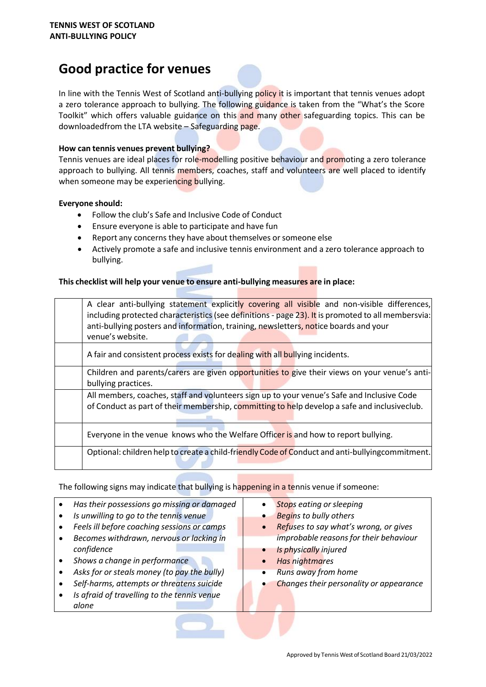# **Good practice for venues**



In line with the Tennis West of Scotland anti-bullying policy it is important that tennis venues adopt a zero tolerance approach to bullying. The following guidance is taken from the "What's the Score Toolkit" which offers valuable guidance on this and many other safeguarding topics. This can be downloadedfrom the LTA website – Safeguarding page.

#### **How can tennis venues prevent bullying?**

Tennis venues are ideal places for role-modelling positive behaviour and promoting a zero tolerance approach to bullying. All tennis members, coaches, staff and volunteers are well placed to identify when someone may be experiencing bullying.

#### **Everyone should:**

- Follow the club's Safe and Inclusive Code of Conduct
- Ensure everyone is able to participate and have fun
- Report any concerns they have about themselves or someone else
- Actively promote a safe and inclusive tennis environment and a zero tolerance approach to bullying.

#### **This checklist will help your venue to ensure anti-bullying measures are in place:**

| A clear anti-bullying statement explicitly covering all visible and non-visible differences,<br>including protected characteristics (see definitions - page 23). It is promoted to all membersvia:<br>anti-bullying posters and information, training, newsletters, notice boards and your<br>venue's website. |
|----------------------------------------------------------------------------------------------------------------------------------------------------------------------------------------------------------------------------------------------------------------------------------------------------------------|
| A fair and consistent process exists for dealing with all bullying incidents.                                                                                                                                                                                                                                  |
| Children and parents/carers are given opportunities to give their views on your venue's anti-                                                                                                                                                                                                                  |
| bullying practices.                                                                                                                                                                                                                                                                                            |
| All members, coaches, staff and volunteers sign up to your venue's Safe and Inclusive Code                                                                                                                                                                                                                     |
| of Conduct as part of their membership, committing to help develop a safe and inclusiveclub.                                                                                                                                                                                                                   |
| Everyone in the venue knows who the Welfare Officer is and how to report bullying.                                                                                                                                                                                                                             |
| Optional: children help to create a child-friendly Code of Conduct and anti-bullying commitment.                                                                                                                                                                                                               |

The following signs may indicate that bullying is happening in a tennis venue if someone:

- *Has their possessions go missing or damaged*  $\bullet$
- *Is unwilling to go to the tennis venue*
- *Feels ill before coaching sessions or camps*
- *Becomes withdrawn, nervous or lacking in confidence*
- *Shows a change in performance*  $\bullet$

*alone*

- *Asks for or steals money (to pay the bully)*
- *Self-harms, attempts or threatens suicide*
- *Is afraid of travelling to the tennis venue*
- *Stops eating or sleeping*  $\bullet$
- *Begins to bully others*  $\bullet$
- $\bullet$ *Refuses to say what's wrong, or gives improbable reasonsfor their behaviour*
- *Is physically injured*
- *Has nightmares*
- *Runs away from home*
- *Changes their personality or appearance*